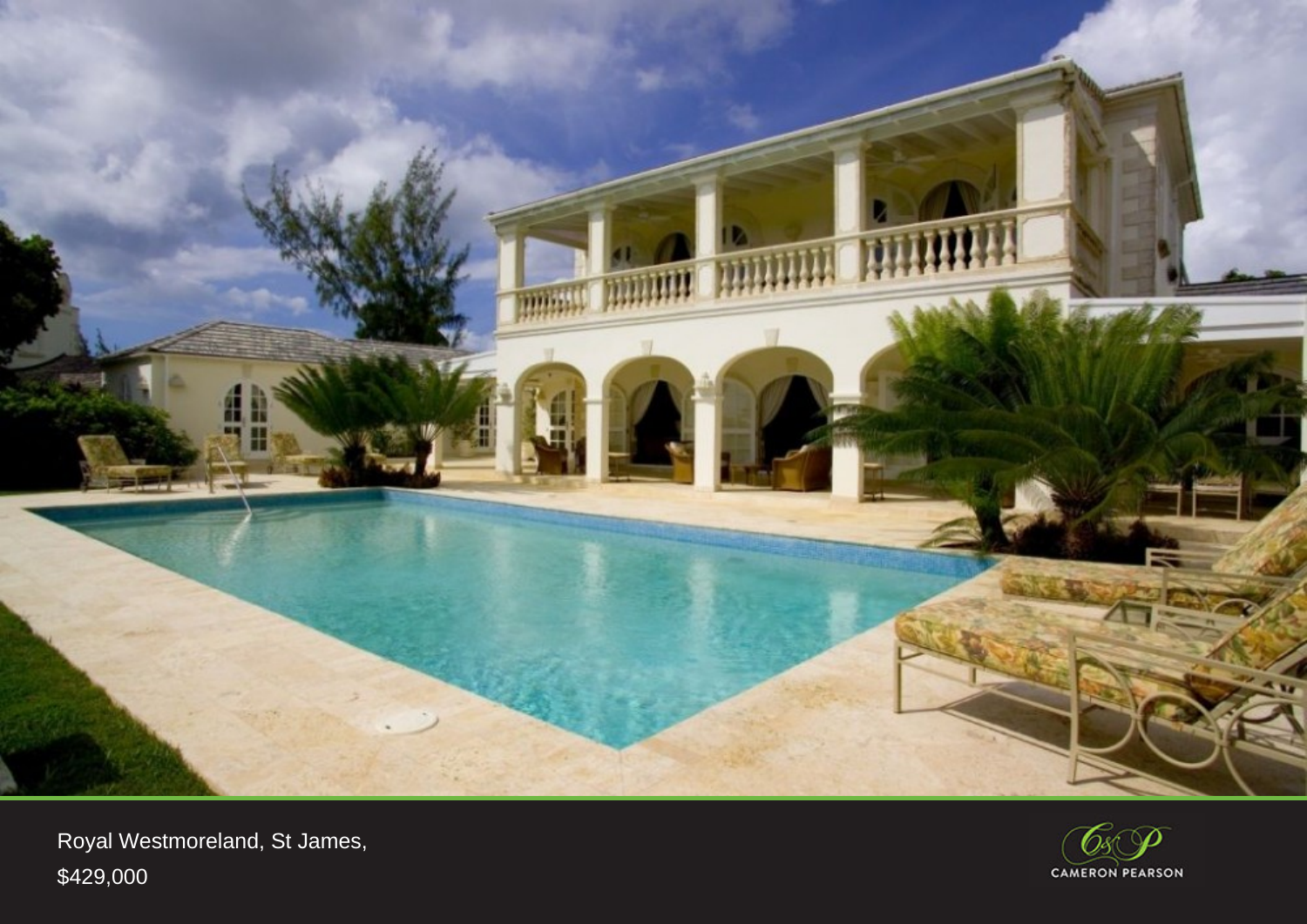

Royal Westmoreland, St James, \$429,000

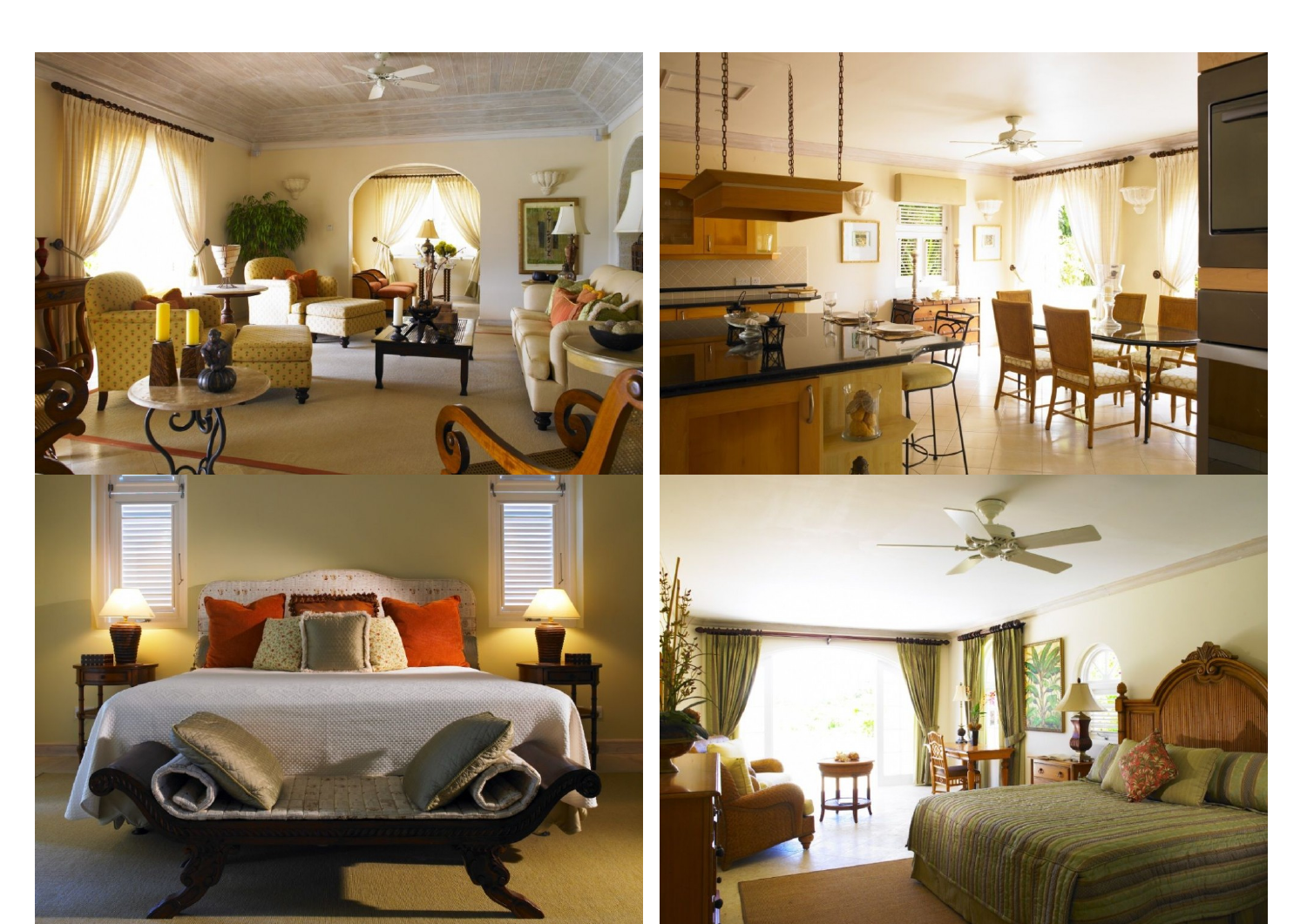

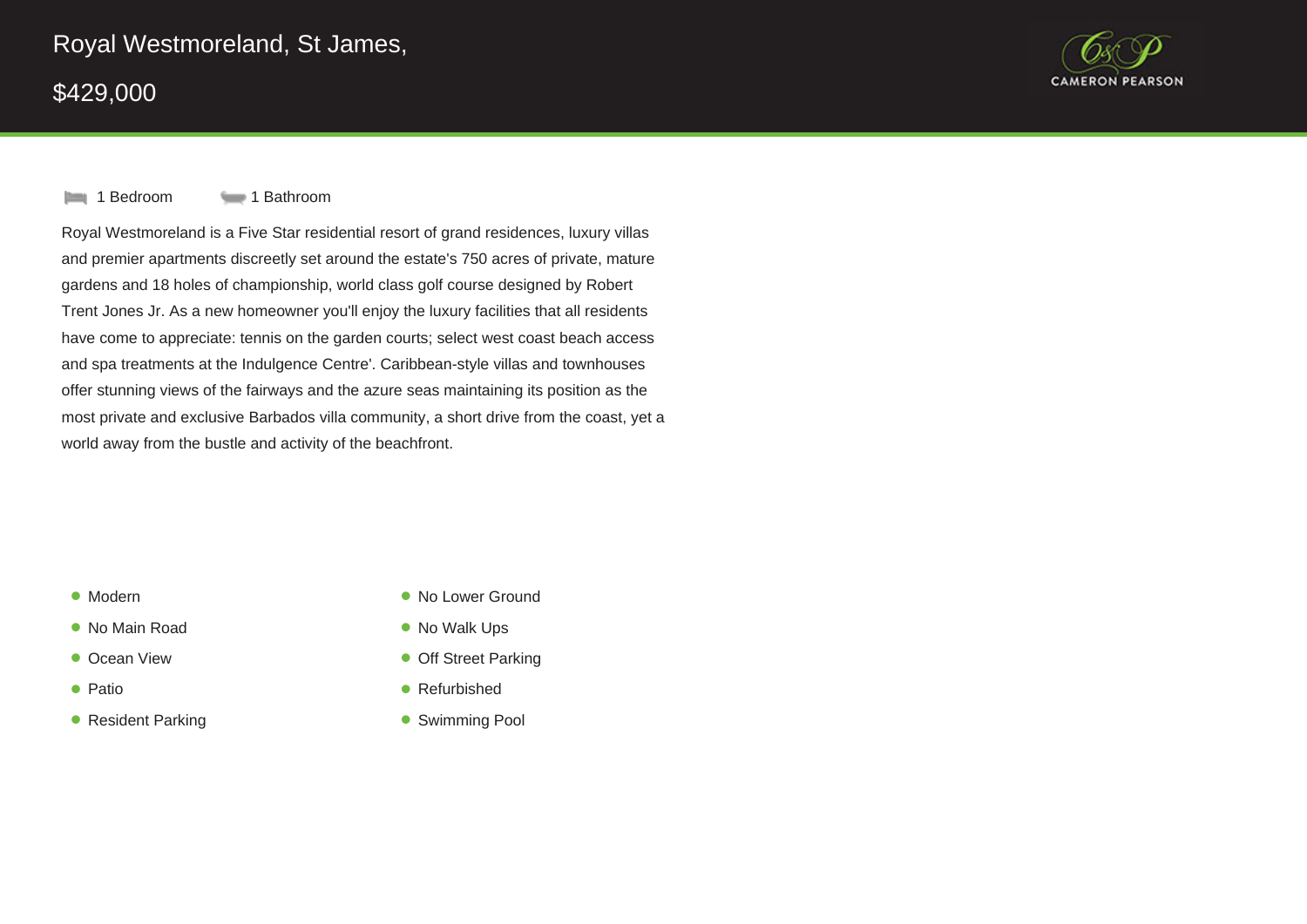## \$429,000



1 Bedroom 1 Bathroom

Royal Westmoreland is a Five Star residential resort of grand residences, luxury villas and premier apartments discreetly set around the estate's 750 acres of private, mature gardens and 18 holes of championship, world class golf course designed by Robert Trent Jones Jr. As a new homeowner you'll enjoy the luxury facilities that all residents have come to appreciate: tennis on the garden courts; select west coast beach access and spa treatments at the Indulgence Centre'. Caribbean-style villas and townhouses offer stunning views of the fairways and the azure seas maintaining its position as the most private and exclusive Barbados villa community, a short drive from the coast, yet a world away from the bustle and activity of the beachfront.

- $\bullet$  Modern  $\bullet$
- No Main Road
- Ocean View
- $\bullet$  Patio
- Resident Parking
- Modern No Lower Ground
	- $\bullet$  No Walk Ups
	- **Off Street Parking**
- Patio Refurbished
	- $\bullet$  Swimming Pool